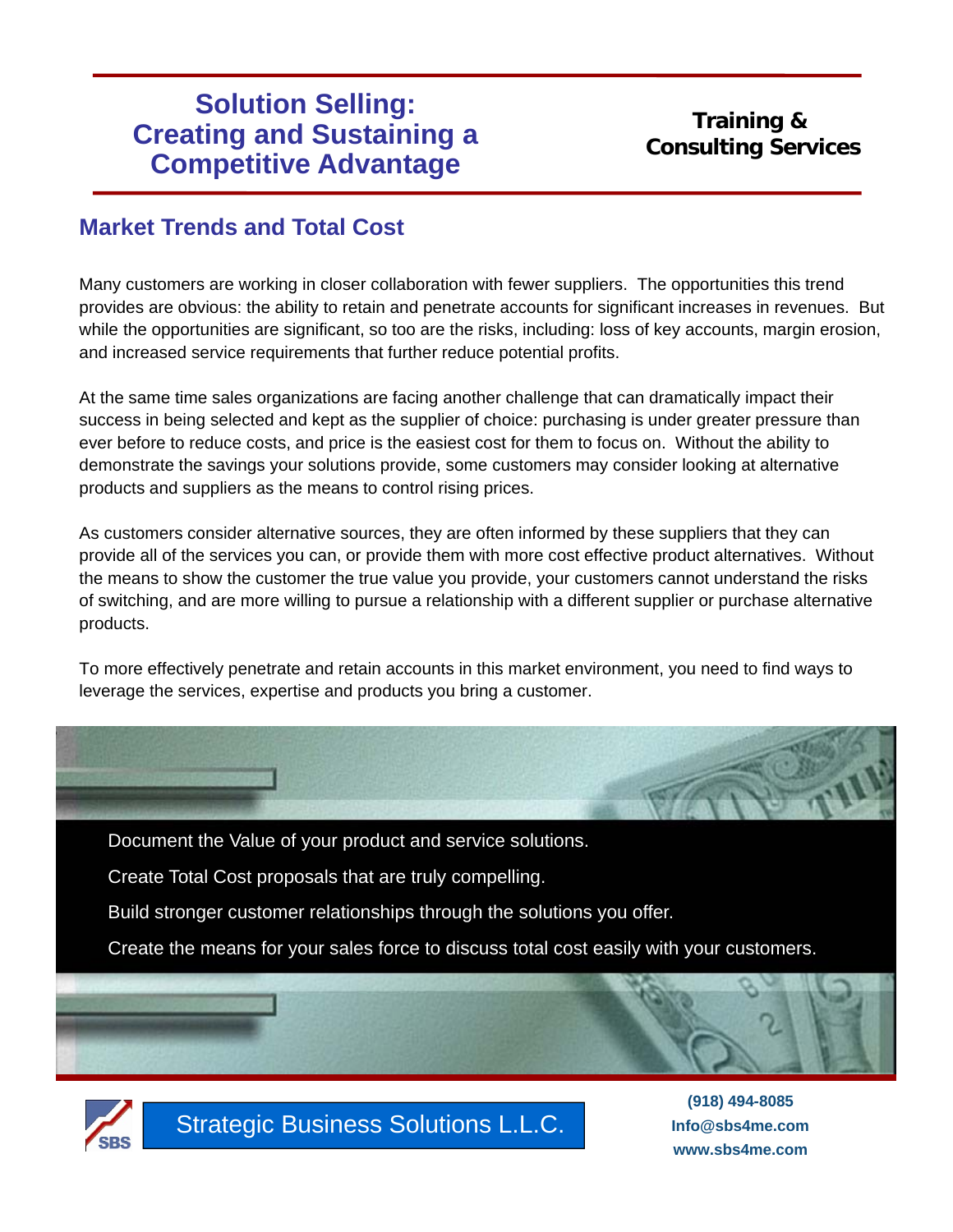## **Training & Consulting Services**

**Info@sbs4me.com www.sbs4me.com**

#### **Market Trends and Total Cost**

Many customers are working in closer collaboration with fewer suppliers. The opportunities this trend provides are obvious: the ability to retain and penetrate accounts for significant increases in revenues. But while the opportunities are significant, so too are the risks, including: loss of key accounts, margin erosion, and increased service requirements that further reduce potential profits.

At the same time sales organizations are facing another challenge that can dramatically impact their success in being selected and kept as the supplier of choice: purchasing is under greater pressure than ever before to reduce costs, and price is the easiest cost for them to focus on. Without the ability to demonstrate the savings your solutions provide, some customers may consider looking at alternative products and suppliers as the means to control rising prices.

As customers consider alternative sources, they are often informed by these suppliers that they can provide all of the services you can, or provide them with more cost effective product alternatives. Without the means to show the customer the true value you provide, your customers cannot understand the risks of switching, and are more willing to pursue a relationship with a different supplier or purchase alternative products.

To more effectively penetrate and retain accounts in this market environment, you need to find ways to leverage the services, expertise and products you bring a customer.

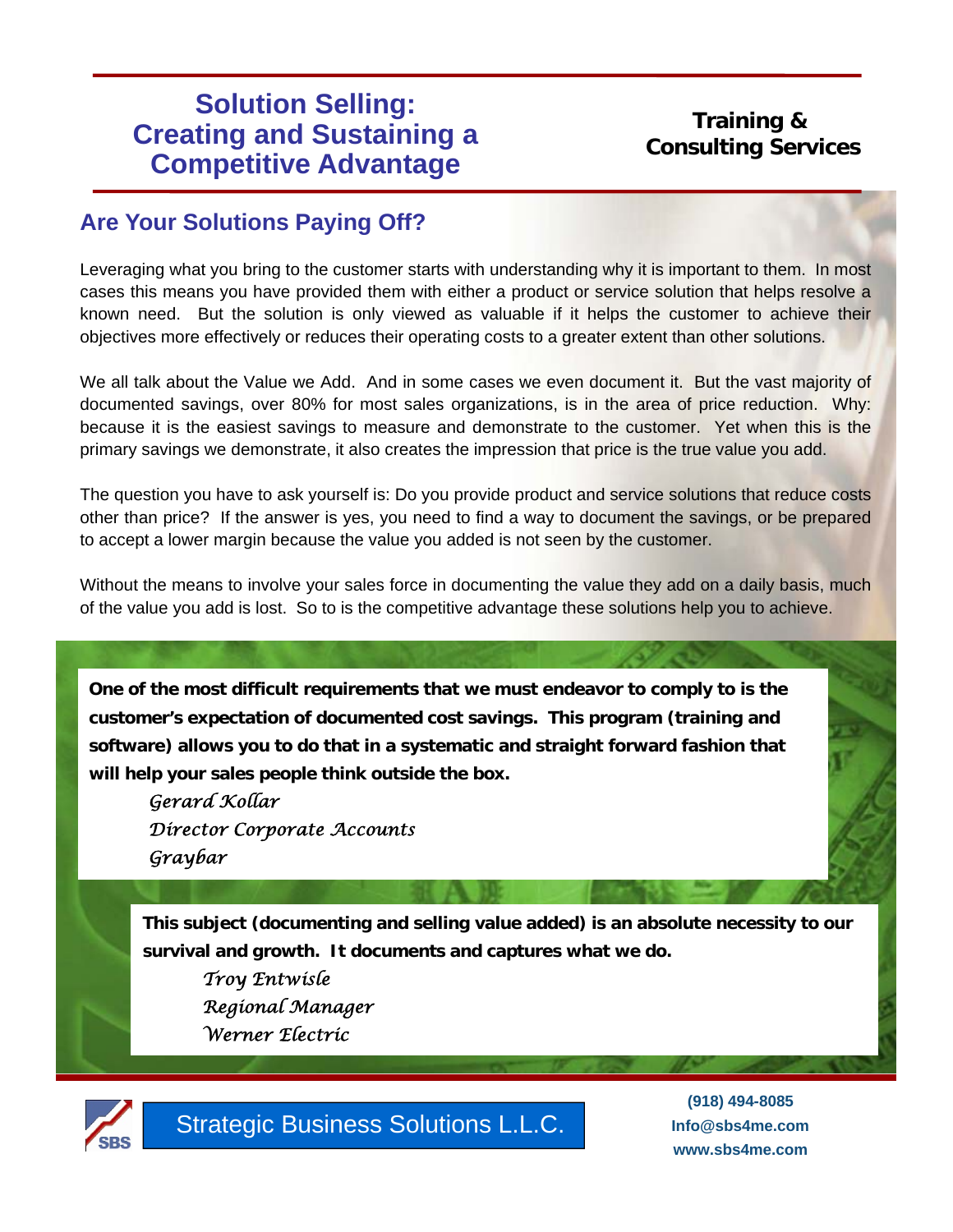## **Training & Consulting Services**

## **Are Your Solutions Paying Off?**

Leveraging what you bring to the customer starts with understanding why it is important to them. In most cases this means you have provided them with either a product or service solution that helps resolve a known need. But the solution is only viewed as valuable if it helps the customer to achieve their objectives more effectively or reduces their operating costs to a greater extent than other solutions.

We all talk about the Value we Add. And in some cases we even document it. But the vast majority of documented savings, over 80% for most sales organizations, is in the area of price reduction. Why: because it is the easiest savings to measure and demonstrate to the customer. Yet when this is the primary savings we demonstrate, it also creates the impression that price is the true value you add.

The question you have to ask yourself is: Do you provide product and service solutions that reduce costs other than price? If the answer is yes, you need to find a way to document the savings, or be prepared to accept a lower margin because the value you added is not seen by the customer.

Without the means to involve your sales force in documenting the value they add on a daily basis, much of the value you add is lost. So to is the competitive advantage these solutions help you to achieve.

**One of the most difficult requirements that we must endeavor to comply to is the customer's expectation of documented cost savings. This program (training and software) allows you to do that in a systematic and straight forward fashion that will help your sales people think outside the box.**

*Gerard Kollar Director Corporate Accounts Graybar*

**This subject (documenting and selling value added) is an absolute necessity to our survival and growth. It documents and captures what we do.**

*Troy Entwisle Regional Manager Werner Electric*



Strategic Business Solutions L.L.C.

**(918) 494-8085 Info@sbs4me.com www.sbs4me.com**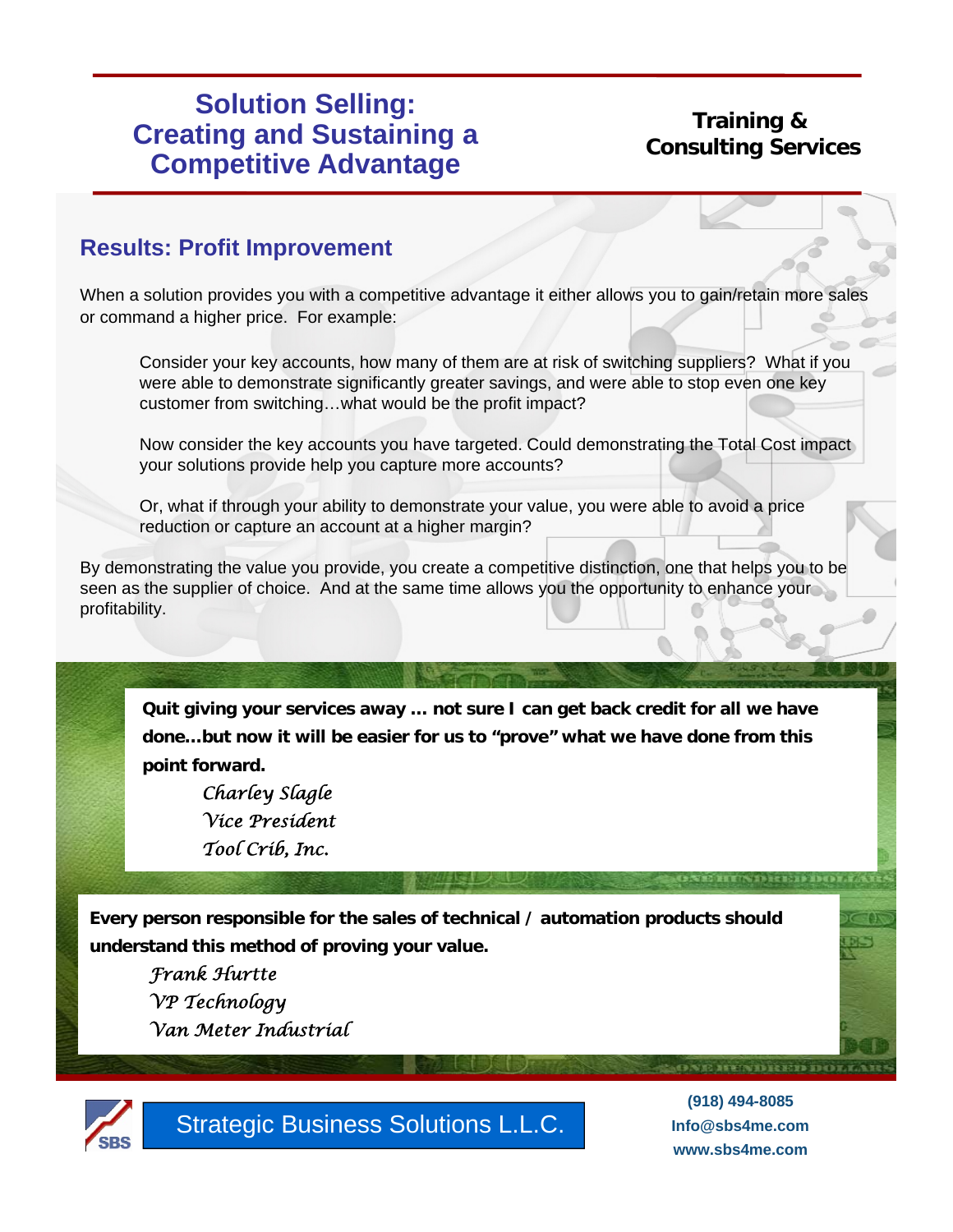## **Training & Consulting Services**

#### **Results: Profit Improvement**

When a solution provides you with a competitive advantage it either allows you to gain/retain more sales or command a higher price. For example:

Consider your key accounts, how many of them are at risk of switching suppliers? What if you were able to demonstrate significantly greater savings, and were able to stop even one key customer from switching…what would be the profit impact?

Now consider the key accounts you have targeted. Could demonstrating the Total Cost impact your solutions provide help you capture more accounts?

Or, what if through your ability to demonstrate your value, you were able to avoid a price reduction or capture an account at a higher margin?

By demonstrating the value you provide, you create a competitive distinction, one that helps you to be seen as the supplier of choice. And at the same time allows you the opportunity to enhance your profitability.

**Quit giving your services away … not sure I can get back credit for all we have done…but now it will be easier for us to "prove" what we have done from this point forward.**

*Charley Slagle Vice President Tool Crib, Inc.*

**Every person responsible for the sales of technical / automation products should understand this method of proving your value.**

*Frank Hurtte VP Technology Van Meter Industrial* 



Strategic Business Solutions L.L.C.

**(918) 494-8085 Info@sbs4me.com www.sbs4me.com**